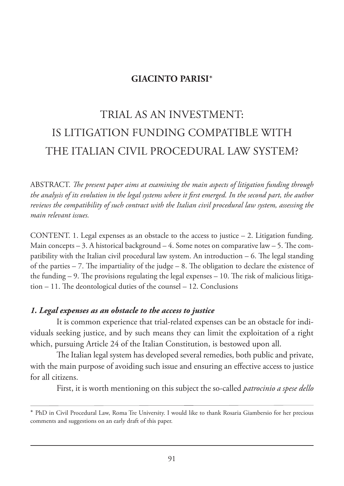# **GIACINTO PARISI**\*

# TRIAL AS AN INVESTMENT: IS LITIGATION FUNDING COMPATIBLE WITH THE ITALIAN CIVIL PROCEDURAL LAW SYSTEM?

ABSTRACT. *The present paper aims at examining the main aspects of litigation funding through the analysis of its evolution in the legal systems where it first emerged. In the second part, the author reviews the compatibility of such contract with the Italian civil procedural law system, assessing the main relevant issues.*

CONTENT. 1. Legal expenses as an obstacle to the access to justice  $-2$ . Litigation funding. Main concepts  $-3$ . A historical background  $-4$ . Some notes on comparative law  $-5$ . The compatibility with the Italian civil procedural law system. An introduction – 6. The legal standing of the parties  $-7$ . The impartiality of the judge  $-8$ . The obligation to declare the existence of the funding – 9. The provisions regulating the legal expenses – 10. The risk of malicious litigation – 11. The deontological duties of the counsel – 12. Conclusions

#### *1. Legal expenses as an obstacle to the access to justice*

It is common experience that trial-related expenses can be an obstacle for individuals seeking justice, and by such means they can limit the exploitation of a right which, pursuing Article 24 of the Italian Constitution, is bestowed upon all.

The Italian legal system has developed several remedies, both public and private, with the main purpose of avoiding such issue and ensuring an effective access to justice for all citizens.

First, it is worth mentioning on this subject the so-called *patrocinio a spese dello*

<sup>\*</sup> PhD in Civil Procedural Law, Roma Tre University. I would like to thank Rosaria Giambersio for her precious comments and suggestions on an early draft of this paper.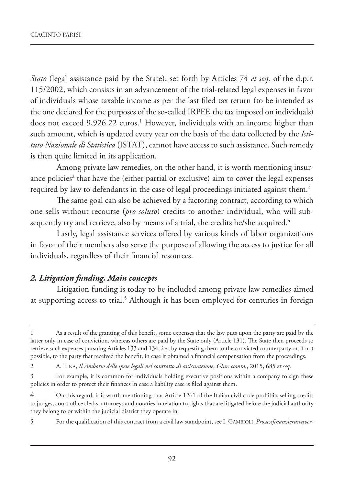*Stato* (legal assistance paid by the State), set forth by Articles 74 *et seq.* of the d.p.r. 115/2002, which consists in an advancement of the trial-related legal expenses in favor of individuals whose taxable income as per the last filed tax return (to be intended as the one declared for the purposes of the so-called IRPEF, the tax imposed on individuals) does not exceed 9,926.22 euros.<sup>1</sup> However, individuals with an income higher than such amount, which is updated every year on the basis of the data collected by the *Istituto Nazionale di Statistica* (ISTAT), cannot have access to such assistance. Such remedy is then quite limited in its application.

Among private law remedies, on the other hand, it is worth mentioning insurance policies<sup>2</sup> that have the (either partial or exclusive) aim to cover the legal expenses required by law to defendants in the case of legal proceedings initiated against them.<sup>3</sup>

The same goal can also be achieved by a factoring contract, according to which one sells without recourse (*pro soluto*) credits to another individual, who will subsequently try and retrieve, also by means of a trial, the credits he/she acquired.<sup>4</sup>

Lastly, legal assistance services offered by various kinds of labor organizations in favor of their members also serve the purpose of allowing the access to justice for all individuals, regardless of their financial resources.

## *2. Litigation funding. Main concepts*

Litigation funding is today to be included among private law remedies aimed at supporting access to trial.<sup>5</sup> Although it has been employed for centuries in foreign

<sup>1</sup> As a result of the granting of this benefit, some expenses that the law puts upon the party are paid by the latter only in case of conviction, whereas others are paid by the State only (Article 131). The State then proceeds to retrieve such expenses pursuing Articles 133 and 134, *i.e.*, by requesting them to the convicted counterparty or, if not possible, to the party that received the benefit, in case it obtained a financial compensation from the proceedings.

<sup>2</sup> A. TINA, *Il rimborso delle spese legali nel contratto di assicurazione*, *Giur. comm.*, 2015, 685 *et seq.*

<sup>3</sup> For example, it is common for individuals holding executive positions within a company to sign these policies in order to protect their finances in case a liability case is filed against them.

<sup>4</sup> On this regard, it is worth mentioning that Article 1261 of the Italian civil code prohibits selling credits to judges, court office clerks, attorneys and notaries in relation to rights that are litigated before the judicial authority they belong to or within the judicial district they operate in.

<sup>5</sup> For the qualification of this contract from a civil law standpoint, see I. GAMBIOLI, *Prozessfinanzierungsver-*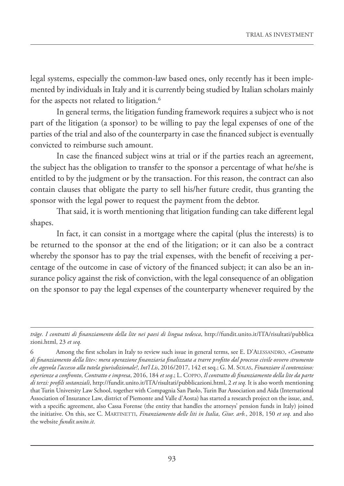legal systems, especially the common-law based ones, only recently has it been implemented by individuals in Italy and it is currently being studied by Italian scholars mainly for the aspects not related to litigation.<sup>6</sup>

In general terms, the litigation funding framework requires a subject who is not part of the litigation (a sponsor) to be willing to pay the legal expenses of one of the parties of the trial and also of the counterparty in case the financed subject is eventually convicted to reimburse such amount.

In case the financed subject wins at trial or if the parties reach an agreement, the subject has the obligation to transfer to the sponsor a percentage of what he/she is entitled to by the judgment or by the transaction. For this reason, the contract can also contain clauses that obligate the party to sell his/her future credit, thus granting the sponsor with the legal power to request the payment from the debtor.

That said, it is worth mentioning that litigation funding can take different legal shapes.

In fact, it can consist in a mortgage where the capital (plus the interests) is to be returned to the sponsor at the end of the litigation; or it can also be a contract whereby the sponsor has to pay the trial expenses, with the benefit of receiving a percentage of the outcome in case of victory of the financed subject; it can also be an insurance policy against the risk of conviction, with the legal consequence of an obligation on the sponsor to pay the legal expenses of the counterparty whenever required by the

*träge. I contratti di finanziamento della lite nei paesi di lingua tedesca*, http://fundit.unito.it/ITA/risultati/pubblica zioni.html, 23 *et seq.*

<sup>6</sup> Among the first scholars in Italy to review such issue in general terms, see E. D'ALESSANDRO, *«Contratto di finanziamento della lite»: mera operazione finanziaria finalizzata a trarre profitto dal processo civile ovvero strumento che agevola l'accesso alla tutela giurisdizionale?*, *Int'l Lis*, 2016/2017, 142 et seq.; G. M. SOLAS, *Finanziare il contenzioso: esperienze a confronto*, *Contratto e impresa*, 2016, 184 *et seq*.; L. COPPO, *Il contratto di finanziamento della lite da parte di terzi: profili sostanziali*, http://fundit.unito.it/ITA/risultati/pubblicazioni.html, 2 *et seq.* It is also worth mentioning that Turin University Law School, together with Compagnia San Paolo, Turin Bar Association and Aida (International Association of Insurance Law, district of Piemonte and Valle d'Aosta) has started a research project on the issue, and, with a specific agreement, also Cassa Forense (the entity that handles the attorneys' pension funds in Italy) joined the initiative. On this, see C. MARTINETTI, *Finanziamento delle liti in Italia*, *Giur. arb.*, 2018, 150 *et seq.* and also the website *fundit.unito.it*.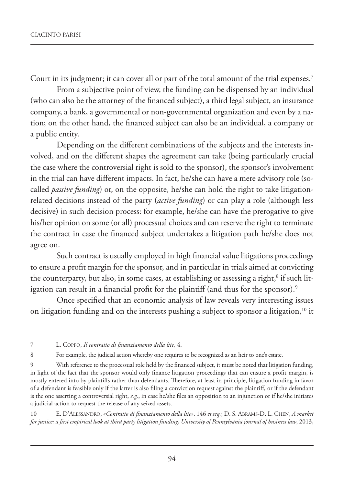Court in its judgment; it can cover all or part of the total amount of the trial expenses.7

From a subjective point of view, the funding can be dispensed by an individual (who can also be the attorney of the financed subject), a third legal subject, an insurance company, a bank, a governmental or non-governmental organization and even by a nation; on the other hand, the financed subject can also be an individual, a company or a public entity.

Depending on the different combinations of the subjects and the interests involved, and on the different shapes the agreement can take (being particularly crucial the case where the controversial right is sold to the sponsor), the sponsor's involvement in the trial can have different impacts. In fact, he/she can have a mere advisory role (socalled *passive funding*) or, on the opposite, he/she can hold the right to take litigationrelated decisions instead of the party (*active funding*) or can play a role (although less decisive) in such decision process: for example, he/she can have the prerogative to give his/her opinion on some (or all) processual choices and can reserve the right to terminate the contract in case the financed subject undertakes a litigation path he/she does not agree on.

Such contract is usually employed in high financial value litigations proceedings to ensure a profit margin for the sponsor, and in particular in trials aimed at convicting the counterparty, but also, in some cases, at establishing or assessing a right, $^8$  if such litigation can result in a financial profit for the plaintiff (and thus for the sponsor).<sup>9</sup>

Once specified that an economic analysis of law reveals very interesting issues on litigation funding and on the interests pushing a subject to sponsor a litigation,<sup>10</sup> it

10 E. D'ALESSANDRO, *«Contratto di finanziamento della lite»*, 146 *et seq.*; D. S. ABRAMS-D. L. CHEN, *A market for justice: a first empirical look at third party litigation funding*, *University of Pennsylvania journal of business law*, 2013,

<sup>7</sup> L. COPPO, *Il contratto di finanziamento della lite*, 4.

<sup>8</sup> For example, the judicial action whereby one requires to be recognized as an heir to one's estate.

<sup>9</sup> With reference to the processual role held by the financed subject, it must be noted that litigation funding, in light of the fact that the sponsor would only finance litigation proceedings that can ensure a profit margin, is mostly entered into by plaintiffs rather than defendants. Therefore, at least in principle, litigation funding in favor of a defendant is feasible only if the latter is also filing a conviction request against the plaintiff, or if the defendant is the one asserting a controversial right, *e.g.*, in case he/she files an opposition to an injunction or if he/she initiates a judicial action to request the release of any seized assets.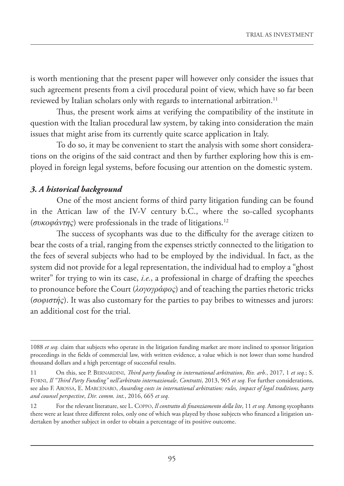is worth mentioning that the present paper will however only consider the issues that such agreement presents from a civil procedural point of view, which have so far been reviewed by Italian scholars only with regards to international arbitration.<sup>11</sup>

Thus, the present work aims at verifying the compatibility of the institute in question with the Italian procedural law system, by taking into consideration the main issues that might arise from its currently quite scarce application in Italy.

To do so, it may be convenient to start the analysis with some short considerations on the origins of the said contract and then by further exploring how this is employed in foreign legal systems, before focusing our attention on the domestic system.

# *3. A historical background*

One of the most ancient forms of third party litigation funding can be found in the Attican law of the IV-V century b.C., where the so-called sycophants (*συκοφάντης*) were professionals in the trade of litigations.12

The success of sycophants was due to the difficulty for the average citizen to bear the costs of a trial, ranging from the expenses strictly connected to the litigation to the fees of several subjects who had to be employed by the individual. In fact, as the system did not provide for a legal representation, the individual had to employ a "ghost writer" for trying to win its case, *i.e.*, a professional in charge of drafting the speeches to pronounce before the Court (*λογογράφος*) and of teaching the parties rhetoric tricks (*σοφιστής*). It was also customary for the parties to pay bribes to witnesses and jurors: an additional cost for the trial.

<sup>1088</sup> *et seq.* claim that subjects who operate in the litigation funding market are more inclined to sponsor litigation proceedings in the fields of commercial law, with written evidence, a value which is not lower than some hundred thousand dollars and a high percentage of successful results.

<sup>11</sup> On this, see P. BERNARDINI, *Third party funding in international arbitration*, *Riv. arb.*, 2017, 1 *et seq.*; S. FORNI, *Il "Third Party Funding" nell'arbitrato internazionale*, *Contratti*, 2013, 965 *et seq.* For further considerations, see also F. AROSSA, E. MARCENARO, *Awarding costs in international arbitration: rules, impact of legal traditions, party and counsel perspective*, *Dir. comm. int.*, 2016, 665 *et seq.*

<sup>12</sup> For the relevant literature, see L. COPPO, *Il contratto di finanziamento della lite*, 11 *et seq.* Among sycophants there were at least three different roles, only one of which was played by those subjects who financed a litigation undertaken by another subject in order to obtain a percentage of its positive outcome.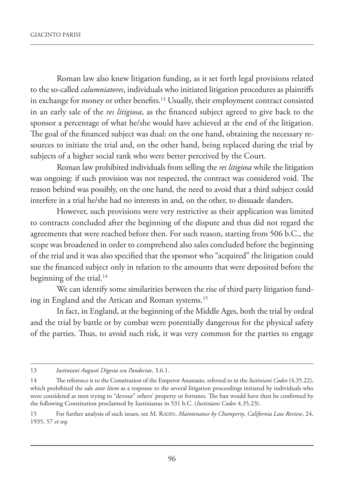Roman law also knew litigation funding, as it set forth legal provisions related to the so-called *calumniatores*, individuals who initiated litigation procedures as plaintiffs in exchange for money or other benefits.13 Usually, their employment contract consisted in an early sale of the *res litigiosa*, as the financed subject agreed to give back to the sponsor a percentage of what he/she would have achieved at the end of the litigation. The goal of the financed subject was dual: on the one hand, obtaining the necessary resources to initiate the trial and, on the other hand, being replaced during the trial by subjects of a higher social rank who were better perceived by the Court.

Roman law prohibited individuals from selling the *res litigiosa* while the litigation was ongoing: if such provision was not respected, the contract was considered void. The reason behind was possibly, on the one hand, the need to avoid that a third subject could interfere in a trial he/she had no interests in and, on the other, to dissuade slanders.

However, such provisions were very restrictive as their application was limited to contracts concluded after the beginning of the dispute and thus did not regard the agreements that were reached before then. For such reason, starting from 506 b.C., the scope was broadened in order to comprehend also sales concluded before the beginning of the trial and it was also specified that the sponsor who "acquired" the litigation could sue the financed subject only in relation to the amounts that were deposited before the beginning of the trial.<sup>14</sup>

We can identify some similarities between the rise of third party litigation funding in England and the Attican and Roman systems.<sup>15</sup>

In fact, in England, at the beginning of the Middle Ages, both the trial by ordeal and the trial by battle or by combat were potentially dangerous for the physical safety of the parties. Thus, to avoid such risk, it was very common for the parties to engage

<sup>13</sup> *Iustiniani Augusti Digesta seu Pandectae*, 3.6.1.

<sup>14</sup> The reference is to the Constitution of the Emperor Anastasio, referred to in the *Iustiniani Codex* (4.35.22), which prohibited the sale *ante litem* as a response to the several litigation proceedings initiated by individuals who were considered as men trying to "devour" others' property or fortunes. The ban would have then be confirmed by the following Constitution proclaimed by Iustinianus in 531 b.C. (*Iustiniani Codex* 4.35.23).

<sup>15</sup> For further analysis of such issues, see M. RADIN, *Maintenance by Champerty*, *California Law Review*, 24, 1935, 57 *et seq.*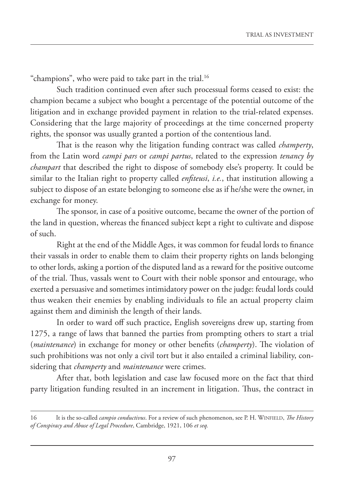"champions", who were paid to take part in the trial.<sup>16</sup>

Such tradition continued even after such processual forms ceased to exist: the champion became a subject who bought a percentage of the potential outcome of the litigation and in exchange provided payment in relation to the trial-related expenses. Considering that the large majority of proceedings at the time concerned property rights, the sponsor was usually granted a portion of the contentious land.

That is the reason why the litigation funding contract was called *champerty*, from the Latin word *campi pars* or *campi partus*, related to the expression *tenancy by champart* that described the right to dispose of somebody else's property. It could be similar to the Italian right to property called *enfiteusi*, *i.e.*, that institution allowing a subject to dispose of an estate belonging to someone else as if he/she were the owner, in exchange for money.

The sponsor, in case of a positive outcome, became the owner of the portion of the land in question, whereas the financed subject kept a right to cultivate and dispose of such.

Right at the end of the Middle Ages, it was common for feudal lords to finance their vassals in order to enable them to claim their property rights on lands belonging to other lords, asking a portion of the disputed land as a reward for the positive outcome of the trial. Thus, vassals went to Court with their noble sponsor and entourage, who exerted a persuasive and sometimes intimidatory power on the judge: feudal lords could thus weaken their enemies by enabling individuals to file an actual property claim against them and diminish the length of their lands.

In order to ward off such practice, English sovereigns drew up, starting from 1275, a range of laws that banned the parties from prompting others to start a trial (*maintenance*) in exchange for money or other benefits (*champerty*). The violation of such prohibitions was not only a civil tort but it also entailed a criminal liability, considering that *champerty* and *maintenance* were crimes.

After that, both legislation and case law focused more on the fact that third party litigation funding resulted in an increment in litigation. Thus, the contract in

<sup>16</sup> It is the so-called *campio conductivus*. For a review of such phenomenon, see P. H. WINFIELD, *The History of Conspiracy and Abuse of Legal Procedure*, Cambridge, 1921, 106 *et seq.*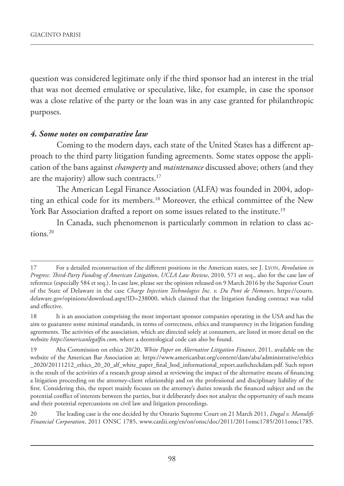question was considered legitimate only if the third sponsor had an interest in the trial that was not deemed emulative or speculative, like, for example, in case the sponsor was a close relative of the party or the loan was in any case granted for philanthropic purposes.

#### *4. Some notes on comparative law*

Coming to the modern days, each state of the United States has a different approach to the third party litigation funding agreements. Some states oppose the application of the bans against *champerty* and *maintenance* discussed above; others (and they are the majority) allow such contracts.<sup>17</sup>

The American Legal Finance Association (ALFA) was founded in 2004, adopting an ethical code for its members.18 Moreover, the ethical committee of the New York Bar Association drafted a report on some issues related to the institute.<sup>19</sup>

In Canada, such phenomenon is particularly common in relation to class actions.20

<sup>17</sup> For a detailed reconstruction of the different positions in the American states, see J. LYON, *Revolution in Progress: Third-Party Funding of American Litigation*, *UCLA Law Review*, 2010, 571 et seq., also for the case law of reference (especially 584 et seq.). In case law, please see the opinion released on 9 March 2016 by the Superior Court of the State of Delaware in the case *Charge Injection Technologies Inc. v. Du Pont de Nemours*, https://courts. delaware.gov/opinions/download.aspx?ID=238000, which claimed that the litigation funding contract was valid and effective.

<sup>18</sup> It is an association comprising the most important sponsor companies operating in the USA and has the aim to guarantee some minimal standards, in terms of correctness, ethics and transparency in the litigation funding agreements. The activities of the association, which are directed solely at consumers, are listed in more detail on the website *https://americanlegalfin.com*, where a deontological code can also be found.

<sup>19</sup> Aba Commission on ethics 20/20, *White Paper on Alternative Litigation Finance*, 2011, available on the website of the American Bar Association at: https://www.americanbar.org/content/dam/aba/administrative/ethics \_2020/20111212\_ethics\_20\_20\_alf\_white\_paper\_final\_hod\_informational\_report.authcheckdam.pdf. Such report is the result of the activities of a research group aimed at reviewing the impact of the alternative means of financing a litigation proceeding on the attorney-client relationship and on the professional and disciplinary liability of the first. Considering this, the report mainly focuses on the attorney's duties towards the financed subject and on the potential conflict of interests between the parties, but it deliberately does not analyze the opportunity of such means and their potential repercussions on civil law and litigation proceedings.

<sup>20</sup> The leading case is the one decided by the Ontario Supreme Court on 21 March 2011, *Dugal v. Manulife Financial Corporation*, 2011 ONSC 1785, www.canlii.org/en/on/onsc/doc/2011/2011onsc1785/2011onsc1785.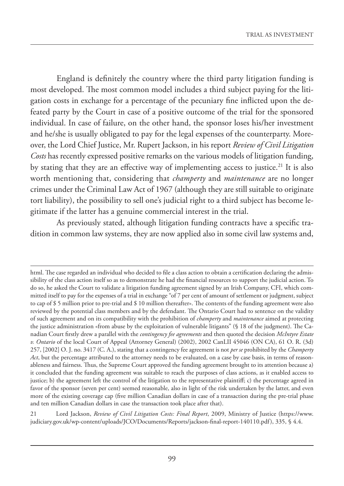England is definitely the country where the third party litigation funding is most developed. The most common model includes a third subject paying for the litigation costs in exchange for a percentage of the pecuniary fine inflicted upon the defeated party by the Court in case of a positive outcome of the trial for the sponsored individual. In case of failure, on the other hand, the sponsor loses his/her investment and he/she is usually obligated to pay for the legal expenses of the counterparty. Moreover, the Lord Chief Justice, Mr. Rupert Jackson, in his report *Review of Civil Litigation Costs* has recently expressed positive remarks on the various models of litigation funding, by stating that they are an effective way of implementing access to justice.<sup>21</sup> It is also worth mentioning that, considering that *champerty* and *maintenance* are no longer crimes under the Criminal Law Act of 1967 (although they are still suitable to originate tort liability), the possibility to sell one's judicial right to a third subject has become legitimate if the latter has a genuine commercial interest in the trial.

As previously stated, although litigation funding contracts have a specific tradition in common law systems, they are now applied also in some civil law systems and,

html. The case regarded an individual who decided to file a class action to obtain a certification declaring the admissibility of the class action itself so as to demonstrate he had the financial resources to support the judicial action. To do so, he asked the Court to validate a litigation funding agreement signed by an Irish Company, CFI, which committed itself to pay for the expenses of a trial in exchange "of 7 per cent of amount of settlement or judgment, subject to cap of \$ 5 million prior to pre-trial and \$ 10 million thereafter». The contents of the funding agreement were also reviewed by the potential class members and by the defendant. The Ontario Court had to sentence on the validity of such agreement and on its compatibility with the prohibition of *champerty* and *maintenance* aimed at protecting the justice administration «from abuse by the exploitation of vulnerable litigants" (§ 18 of the judgment). The Canadian Court firstly drew a parallel with the *contingency fee agreements* and then quoted the decision *McIntyre Estate v. Ontario* of the local Court of Appeal (Attorney General) (2002), 2002 CanLII 45046 (ON CA), 61 O. R. (3d) 257, [2002] O. J. no. 3417 (C. A.), stating that a contingency fee agreement is not *per se* prohibited by the *Champerty Act*, but the percentage attributed to the attorney needs to be evaluated, on a case by case basis, in terms of reasonableness and fairness. Thus, the Supreme Court approved the funding agreement brought to its attention because a) it concluded that the funding agreement was suitable to reach the purposes of class actions, as it enabled access to justice; b) the agreement left the control of the litigation to the representative plaintiff; c) the percentage agreed in favor of the sponsor (seven per cent) seemed reasonable, also in light of the risk undertaken by the latter, and even more of the existing coverage cap (five million Canadian dollars in case of a transaction during the pre-trial phase and ten million Canadian dollars in case the transaction took place after that).

<sup>21</sup> Lord Jackson, *Review of Civil Litigation Costs: Final Report*, 2009, Ministry of Justice (https://www. judiciary.gov.uk/wp-content/uploads/JCO/Documents/Reports/jackson-final-report-140110.pdf), 335, § 4.4.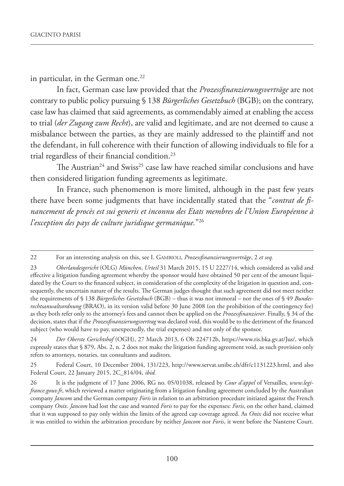in particular, in the German one.<sup>22</sup>

In fact, German case law provided that the *Prozessfinanzierungsverträge* are not contrary to public policy pursuing § 138 *Bürgerliches Gesetzbuch* (BGB); on the contrary, case law has claimed that said agreements, as commendably aimed at enabling the access to trial (*der Zugang zum Recht*), are valid and legitimate, and are not deemed to cause a misbalance between the parties, as they are mainly addressed to the plaintiff and not the defendant, in full coherence with their function of allowing individuals to file for a trial regardless of their financial condition.<sup>23</sup>

The Austrian<sup>24</sup> and Swiss<sup>25</sup> case law have reached similar conclusions and have then considered litigation funding agreements as legitimate.

In France, such phenomenon is more limited, although in the past few years there have been some judgments that have incidentally stated that the "*contrat de financement de procès est sui generis et inconnu des Etats membres de l'Union Européenne à l'exception des pays de culture juridique germanique.*"26

24 *Der Oberste Gerichtshof* (OGH), 27 March 2013, 6 Ob 224712b, https://www.ris.bka.gv.at/Jus/, which expressly states that § 879, Abs. 2, n. 2 does not make the litigation funding agreement void, as such provision only refers to attorneys, notaries, tax consultants and auditors.

25 Federal Court, 10 December 2004, 131/223, http://www.servat.unibe.ch/dfr/c1131223.html, and also Federal Court, 22 January 2015, 2C\_814/04, *ibid.*

<sup>22</sup> For an interesting analysis on this, see I. GAMBIOLI, *Prozessfinanzierungsverträge*, 2 *et seq.*

<sup>23</sup> *Oberlandesgericht* (OLG) *München*, *Urteil* 31 March 2015, 15 U 2227/14, which considered as valid and effective a litigation funding agreement whereby the sponsor would have obtained 50 per cent of the amount liquidated by the Court to the financed subject, in consideration of the complexity of the litigation in question and, consequently, the uncertain nature of the results. The German judges thought that such agreement did not meet neither the requirements of § 138 *Bürgerliches Gesetzbuch* (BGB) – thus it was not immoral – nor the ones of § 49 *Bundesrechtsanwaltsordnung* (BRAO), in its version valid before 30 June 2008 (on the prohibition of the contingency fee) as they both refer only to the attorney's fees and cannot then be applied on the *Prozessfinanzierer*. Finally, § 34 of the decision, states that if the *Prozessfinanzierungsvertrag* was declared void, this would be to the detriment of the financed subject (who would have to pay, unexpectedly, the trial expenses) and not only of the sponsor.

<sup>26</sup> It is the judgment of 17 June 2006, RG no. 05/01038, released by *Cour d'appel* of Versailles, *www.legifrance.gouv.fr*, which reviewed a matter originating from a litigation funding agreement concluded by the Australian company *Jancom* and the German company *Foris* in relation to an arbitration procedure initiated against the French company *Onix*. *Jancom* had lost the case and wanted *Foris* to pay for the expenses: *Foris*, on the other hand, claimed that it was supposed to pay only within the limits of the agreed cap coverage agreed. As *Onix* did not receive what it was entitled to within the arbitration procedure by neither *Jancom* nor *Foris*, it went before the Nanterre Court.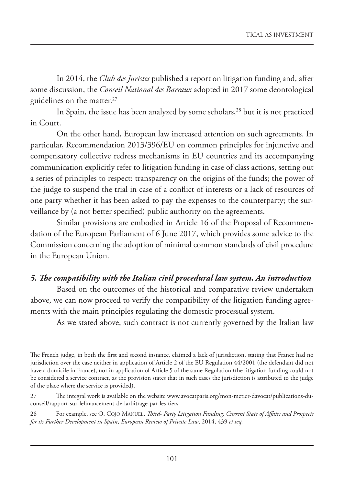In 2014, the *Club des Juristes* published a report on litigation funding and, after some discussion, the *Conseil National des Barraux* adopted in 2017 some deontological guidelines on the matter.<sup>27</sup>

In Spain, the issue has been analyzed by some scholars,<sup>28</sup> but it is not practiced in Court.

On the other hand, European law increased attention on such agreements. In particular, Recommendation 2013/396/EU on common principles for injunctive and compensatory collective redress mechanisms in EU countries and its accompanying communication explicitly refer to litigation funding in case of class actions, setting out a series of principles to respect: transparency on the origins of the funds; the power of the judge to suspend the trial in case of a conflict of interests or a lack of resources of one party whether it has been asked to pay the expenses to the counterparty; the surveillance by (a not better specified) public authority on the agreements.

Similar provisions are embodied in Article 16 of the Proposal of Recommendation of the European Parliament of 6 June 2017, which provides some advice to the Commission concerning the adoption of minimal common standards of civil procedure in the European Union.

# *5. The compatibility with the Italian civil procedural law system. An introduction*

Based on the outcomes of the historical and comparative review undertaken above, we can now proceed to verify the compatibility of the litigation funding agreements with the main principles regulating the domestic processual system.

As we stated above, such contract is not currently governed by the Italian law

The French judge, in both the first and second instance, claimed a lack of jurisdiction, stating that France had no jurisdiction over the case neither in application of Article 2 of the EU Regulation 44/2001 (the defendant did not have a domicile in France), nor in application of Article 5 of the same Regulation (the litigation funding could not be considered a service contract, as the provision states that in such cases the jurisdiction is attributed to the judge of the place where the service is provided).

<sup>27</sup> The integral work is available on the website www.avocatparis.org/mon-metier-davocat/publications-duconseil/rapport-sur-lefinancement-de-larbitrage-par-les-tiers.

<sup>28</sup> For example, see O. COJO MANUEL, *Third- Party Litigation Funding: Current State of Affairs and Prospects for its Further Development in Spain*, *European Review of Private Law*, 2014, 439 *et seq.*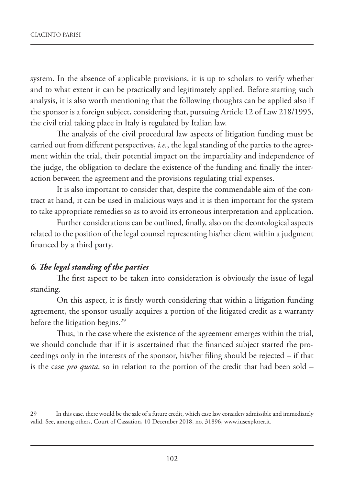system. In the absence of applicable provisions, it is up to scholars to verify whether and to what extent it can be practically and legitimately applied. Before starting such analysis, it is also worth mentioning that the following thoughts can be applied also if the sponsor is a foreign subject, considering that, pursuing Article 12 of Law 218/1995, the civil trial taking place in Italy is regulated by Italian law.

The analysis of the civil procedural law aspects of litigation funding must be carried out from different perspectives, *i.e.*, the legal standing of the parties to the agreement within the trial, their potential impact on the impartiality and independence of the judge, the obligation to declare the existence of the funding and finally the interaction between the agreement and the provisions regulating trial expenses.

It is also important to consider that, despite the commendable aim of the contract at hand, it can be used in malicious ways and it is then important for the system to take appropriate remedies so as to avoid its erroneous interpretation and application.

Further considerations can be outlined, finally, also on the deontological aspects related to the position of the legal counsel representing his/her client within a judgment financed by a third party.

#### *6. The legal standing of the parties*

The first aspect to be taken into consideration is obviously the issue of legal standing.

On this aspect, it is firstly worth considering that within a litigation funding agreement, the sponsor usually acquires a portion of the litigated credit as a warranty before the litigation begins.<sup>29</sup>

Thus, in the case where the existence of the agreement emerges within the trial, we should conclude that if it is ascertained that the financed subject started the proceedings only in the interests of the sponsor, his/her filing should be rejected – if that is the case *pro quota*, so in relation to the portion of the credit that had been sold –

<sup>29</sup> In this case, there would be the sale of a future credit, which case law considers admissible and immediately valid. See, among others, Court of Cassation, 10 December 2018, no. 31896, www.iusexplorer.it.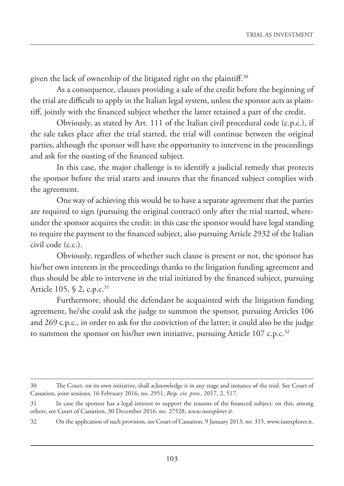given the lack of ownership of the litigated right on the plaintiff.<sup>30</sup>

As a consequence, clauses providing a sale of the credit before the beginning of the trial are difficult to apply in the Italian legal system, unless the sponsor acts as plaintiff, jointly with the financed subject whether the latter retained a part of the credit.

Obviously, as stated by Art. 111 of the Italian civil procedural code (c.p.c.), if the sale takes place after the trial started, the trial will continue between the original parties, although the sponsor will have the opportunity to intervene in the proceedings and ask for the ousting of the financed subject.

In this case, the major challenge is to identify a judicial remedy that protects the sponsor before the trial starts and insures that the financed subject complies with the agreement.

One way of achieving this would be to have a separate agreement that the parties are required to sign (pursuing the original contract) only after the trial started, whereunder the sponsor acquires the credit: in this case the sponsor would have legal standing to require the payment to the financed subject, also pursuing Article 2932 of the Italian civil code (c.c.).

Obviously, regardless of whether such clause is present or not, the sponsor has his/her own interests in the proceedings thanks to the litigation funding agreement and thus should be able to intervene in the trial initiated by the financed subject, pursuing Article 105,  $\S$  2, c.p.c.<sup>31</sup>

Furthermore, should the defendant be acquainted with the litigation funding agreement, he/she could ask the judge to summon the sponsor, pursuing Articles 106 and 269 c.p.c., in order to ask for the conviction of the latter; it could also be the judge to summon the sponsor on his/her own initiative, pursuing Article 107 c.p.c.<sup>32</sup>

<sup>30</sup> The Court, on its own initiative, shall acknowledge it in any stage and instance of the trial. See Court of Cassation, joint sessions, 16 February 2016, no. 2951, *Resp. civ. prev.*, 2017, 2, 517.

<sup>31</sup> In case the sponsor has a legal interest to support the reasons of the financed subject: on this, among others, see Court of Cassation, 30 December 2016, no. 27528, *www.iusexplorer.it*.

<sup>32</sup> On the application of such provision, see Court of Cassation, 9 January 2013, no. 315, www.iusexplorer.it.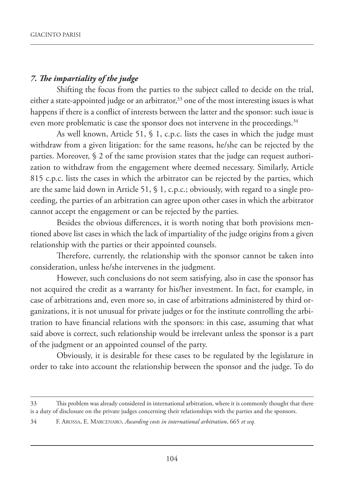## *7. The impartiality of the judge*

Shifting the focus from the parties to the subject called to decide on the trial, either a state-appointed judge or an arbitrator, $33$  one of the most interesting issues is what happens if there is a conflict of interests between the latter and the sponsor: such issue is even more problematic is case the sponsor does not intervene in the proceedings.<sup>34</sup>

As well known, Article 51, § 1, c.p.c. lists the cases in which the judge must withdraw from a given litigation: for the same reasons, he/she can be rejected by the parties. Moreover, § 2 of the same provision states that the judge can request authorization to withdraw from the engagement where deemed necessary. Similarly, Article 815 c.p.c. lists the cases in which the arbitrator can be rejected by the parties, which are the same laid down in Article 51, § 1, c.p.c.; obviously, with regard to a single proceeding, the parties of an arbitration can agree upon other cases in which the arbitrator cannot accept the engagement or can be rejected by the parties.

Besides the obvious differences, it is worth noting that both provisions mentioned above list cases in which the lack of impartiality of the judge origins from a given relationship with the parties or their appointed counsels.

Therefore, currently, the relationship with the sponsor cannot be taken into consideration, unless he/she intervenes in the judgment.

However, such conclusions do not seem satisfying, also in case the sponsor has not acquired the credit as a warranty for his/her investment. In fact, for example, in case of arbitrations and, even more so, in case of arbitrations administered by third organizations, it is not unusual for private judges or for the institute controlling the arbitration to have financial relations with the sponsors: in this case, assuming that what said above is correct, such relationship would be irrelevant unless the sponsor is a part of the judgment or an appointed counsel of the party.

Obviously, it is desirable for these cases to be regulated by the legislature in order to take into account the relationship between the sponsor and the judge. To do

<sup>33</sup> This problem was already considered in international arbitration, where it is commonly thought that there is a duty of disclosure on the private judges concerning their relationships with the parties and the sponsors.

<sup>34</sup> F. AROSSA, E. MARCENARO, *Awarding costs in international arbitration*, 665 *et seq.*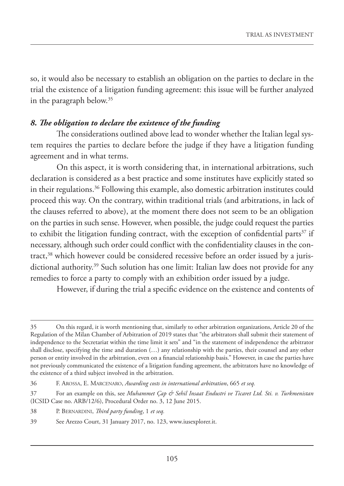so, it would also be necessary to establish an obligation on the parties to declare in the trial the existence of a litigation funding agreement: this issue will be further analyzed in the paragraph below.35

# *8. The obligation to declare the existence of the funding*

The considerations outlined above lead to wonder whether the Italian legal system requires the parties to declare before the judge if they have a litigation funding agreement and in what terms.

On this aspect, it is worth considering that, in international arbitrations, such declaration is considered as a best practice and some institutes have explicitly stated so in their regulations.<sup>36</sup> Following this example, also domestic arbitration institutes could proceed this way. On the contrary, within traditional trials (and arbitrations, in lack of the clauses referred to above), at the moment there does not seem to be an obligation on the parties in such sense. However, when possible, the judge could request the parties to exhibit the litigation funding contract, with the exception of confidential parts $37$  if necessary, although such order could conflict with the confidentiality clauses in the contract,<sup>38</sup> which however could be considered recessive before an order issued by a jurisdictional authority.<sup>39</sup> Such solution has one limit: Italian law does not provide for any remedies to force a party to comply with an exhibition order issued by a judge.

However, if during the trial a specific evidence on the existence and contents of

<sup>35</sup> On this regard, it is worth mentioning that, similarly to other arbitration organizations, Article 20 of the Regulation of the Milan Chamber of Arbitration of 2019 states that "the arbitrators shall submit their statement of independence to the Secretariat within the time limit it sets" and "in the statement of independence the arbitrator shall disclose, specifying the time and duration (…) any relationship with the parties, their counsel and any other person or entity involved in the arbitration, even on a financial relationship basis." However, in case the parties have not previously communicated the existence of a litigation funding agreement, the arbitrators have no knowledge of the existence of a third subject involved in the arbitration.

<sup>36</sup> F. AROSSA, E. MARCENARO, *Awarding costs in international arbitration*, 665 *et seq.*

<sup>37</sup> For an example on this, see *Muhammet Çap & Sehil Insaat Endustri ve Ticaret Ltd. Sti. v. Turkmenistan* (ICSID Case no. ARB/12/6), Procedural Order no. 3, 12 June 2015.

<sup>38</sup> P. BERNARDINI, *Third party funding*, 1 *et seq.*

<sup>39</sup> See Arezzo Court, 31 January 2017, no. 123, www.iusexplorer.it.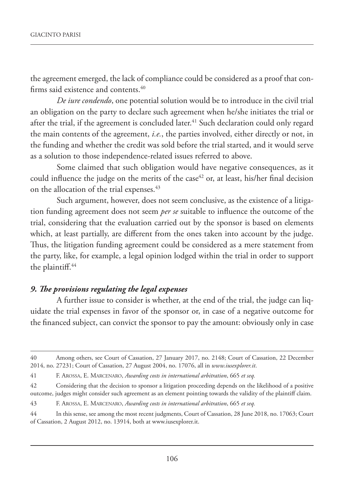the agreement emerged, the lack of compliance could be considered as a proof that confirms said existence and contents.<sup>40</sup>

*De iure condendo*, one potential solution would be to introduce in the civil trial an obligation on the party to declare such agreement when he/she initiates the trial or after the trial, if the agreement is concluded later.<sup>41</sup> Such declaration could only regard the main contents of the agreement, *i.e.*, the parties involved, either directly or not, in the funding and whether the credit was sold before the trial started, and it would serve as a solution to those independence-related issues referred to above.

Some claimed that such obligation would have negative consequences, as it could influence the judge on the merits of the case<sup>42</sup> or, at least, his/her final decision on the allocation of the trial expenses.<sup>43</sup>

Such argument, however, does not seem conclusive, as the existence of a litigation funding agreement does not seem *per se* suitable to influence the outcome of the trial, considering that the evaluation carried out by the sponsor is based on elements which, at least partially, are different from the ones taken into account by the judge. Thus, the litigation funding agreement could be considered as a mere statement from the party, like, for example, a legal opinion lodged within the trial in order to support the plaintiff.<sup>44</sup>

## *9. The provisions regulating the legal expenses*

A further issue to consider is whether, at the end of the trial, the judge can liquidate the trial expenses in favor of the sponsor or, in case of a negative outcome for the financed subject, can convict the sponsor to pay the amount: obviously only in case

<sup>40</sup> Among others, see Court of Cassation, 27 January 2017, no. 2148; Court of Cassation, 22 December 2014, no. 27231; Court of Cassation, 27 August 2004, no. 17076, all in *www.iusexplorer.it*.

<sup>41</sup> F. AROSSA, E. MARCENARO, *Awarding costs in international arbitration*, 665 *et seq.*

<sup>42</sup> Considering that the decision to sponsor a litigation proceeding depends on the likelihood of a positive outcome, judges might consider such agreement as an element pointing towards the validity of the plaintiff claim.

<sup>43</sup> F. AROSSA, E. MARCENARO, *Awarding costs in international arbitration*, 665 *et seq.*

<sup>44</sup> In this sense, see among the most recent judgments, Court of Cassation, 28 June 2018, no. 17063; Court of Cassation, 2 August 2012, no. 13914, both at www.iusexplorer.it.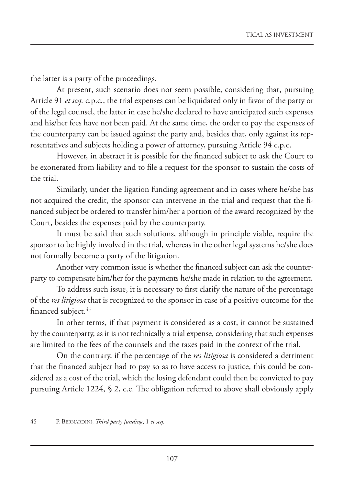the latter is a party of the proceedings.

At present, such scenario does not seem possible, considering that, pursuing Article 91 *et seq.* c.p.c., the trial expenses can be liquidated only in favor of the party or of the legal counsel, the latter in case he/she declared to have anticipated such expenses and his/her fees have not been paid. At the same time, the order to pay the expenses of the counterparty can be issued against the party and, besides that, only against its representatives and subjects holding a power of attorney, pursuing Article 94 c.p.c.

However, in abstract it is possible for the financed subject to ask the Court to be exonerated from liability and to file a request for the sponsor to sustain the costs of the trial.

Similarly, under the ligation funding agreement and in cases where he/she has not acquired the credit, the sponsor can intervene in the trial and request that the financed subject be ordered to transfer him/her a portion of the award recognized by the Court, besides the expenses paid by the counterparty.

It must be said that such solutions, although in principle viable, require the sponsor to be highly involved in the trial, whereas in the other legal systems he/she does not formally become a party of the litigation.

Another very common issue is whether the financed subject can ask the counterparty to compensate him/her for the payments he/she made in relation to the agreement.

To address such issue, it is necessary to first clarify the nature of the percentage of the *res litigiosa* that is recognized to the sponsor in case of a positive outcome for the financed subject.45

In other terms, if that payment is considered as a cost, it cannot be sustained by the counterparty, as it is not technically a trial expense, considering that such expenses are limited to the fees of the counsels and the taxes paid in the context of the trial.

On the contrary, if the percentage of the *res litigiosa* is considered a detriment that the financed subject had to pay so as to have access to justice, this could be considered as a cost of the trial, which the losing defendant could then be convicted to pay pursuing Article 1224, § 2, c.c. The obligation referred to above shall obviously apply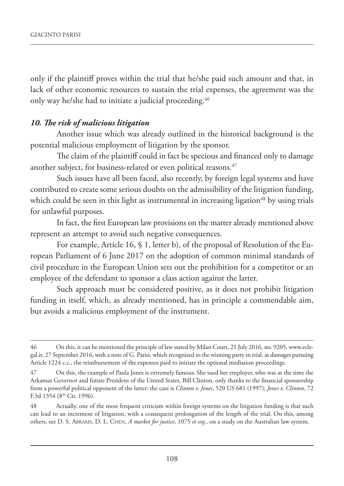only if the plaintiff proves within the trial that he/she paid such amount and that, in lack of other economic resources to sustain the trial expenses, the agreement was the only way he/she had to initiate a judicial proceeding.<sup>46</sup>

### *10. The risk of malicious litigation*

Another issue which was already outlined in the historical background is the potential malicious employment of litigation by the sponsor.

The claim of the plaintiff could in fact be specious and financed only to damage another subject, for business-related or even political reasons.<sup>47</sup>

Such issues have all been faced, also recently, by foreign legal systems and have contributed to create some serious doubts on the admissibility of the litigation funding, which could be seen in this light as instrumental in increasing ligation<sup>48</sup> by using trials for unlawful purposes.

In fact, the first European law provisions on the matter already mentioned above represent an attempt to avoid such negative consequences.

For example, Article 16, § 1, letter b), of the proposal of Resolution of the European Parliament of 6 June 2017 on the adoption of common minimal standards of civil procedure in the European Union sets out the prohibition for a competitor or an employee of the defendant to sponsor a class action against the latter.

Such approach must be considered positive, as it does not prohibit litigation funding in itself, which, as already mentioned, has in principle a commendable aim, but avoids a malicious employment of the instrument.

<sup>46</sup> On this, it can be mentioned the principle of law stated by Milan Court, 21 July 2016, no. 9205, www.eclegal.it, 27 September 2016, with a note of G. Parisi, which recognized to the winning party in trial, as damages pursuing Article 1224 c.c., the reimbursement of the expenses paid to initiate the optional mediation proceedings.

<sup>47</sup> On this, the example of Paula Jones is extremely famous. She sued her employer, who was at the time the Arkansas Governor and future President of the United States, Bill Clinton, only thanks to the financial sponsorship from a powerful political opponent of the latter: the case is *Clinton v. Jones*, 520 US 681 (1997); *Jones v. Clinton*, 72 F.3d 1354 (8th Cir. 1996).

<sup>48</sup> Actually, one of the most frequent criticism within foreign systems on the litigation funding is that such can lead to an increment of litigation, with a consequent prolongation of the length of the trial. On this, among others, see D. S. ABRAMS, D. L. CHEN, *A market for justice*, 1075 *et seq.*, on a study on the Australian law system.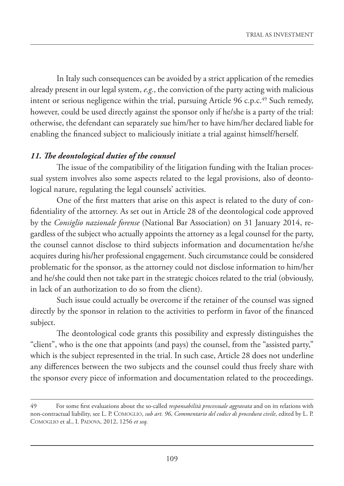In Italy such consequences can be avoided by a strict application of the remedies already present in our legal system, *e.g.*, the conviction of the party acting with malicious intent or serious negligence within the trial, pursuing Article 96 c.p.c. $49$  Such remedy, however, could be used directly against the sponsor only if he/she is a party of the trial: otherwise, the defendant can separately sue him/her to have him/her declared liable for enabling the financed subject to maliciously initiate a trial against himself/herself.

# *11. The deontological duties of the counsel*

The issue of the compatibility of the litigation funding with the Italian processual system involves also some aspects related to the legal provisions, also of deontological nature, regulating the legal counsels' activities.

One of the first matters that arise on this aspect is related to the duty of confidentiality of the attorney. As set out in Article 28 of the deontological code approved by the *Consiglio nazionale forense* (National Bar Association) on 31 January 2014, regardless of the subject who actually appoints the attorney as a legal counsel for the party, the counsel cannot disclose to third subjects information and documentation he/she acquires during his/her professional engagement. Such circumstance could be considered problematic for the sponsor, as the attorney could not disclose information to him/her and he/she could then not take part in the strategic choices related to the trial (obviously, in lack of an authorization to do so from the client).

Such issue could actually be overcome if the retainer of the counsel was signed directly by the sponsor in relation to the activities to perform in favor of the financed subject.

The deontological code grants this possibility and expressly distinguishes the "client", who is the one that appoints (and pays) the counsel, from the "assisted party," which is the subject represented in the trial. In such case, Article 28 does not underline any differences between the two subjects and the counsel could thus freely share with the sponsor every piece of information and documentation related to the proceedings.

<sup>49</sup> For some first evaluations about the so-called *responsabilità processuale aggravata* and on its relations with non-contractual liability, see L. P. COMOGLIO, *sub art. 96*, *Commentario del codice di procedura civile*, edited by L. P. COMOGLIO et al., I. PADOVA, 2012, 1256 *et seq.*